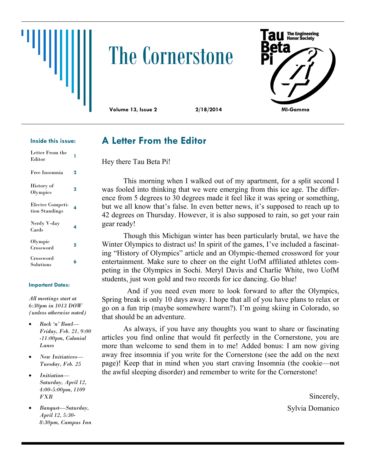

# The Cornerstone



#### **Inside this issue:**

| Letter From the<br>Editor          |   |
|------------------------------------|---|
| Free Insomnia                      | 2 |
| History of<br>Olympics             | 2 |
| Electee Competi-<br>tion Standings | 4 |
| Nerdy V-day<br>Cards               | 4 |
| Olympic<br>Crossword               | 5 |
| Crossword<br>Solutions             | 6 |

#### **Important Dates:**

*All meetings start at 6:30pm in 1013 DOW (unless otherwise noted)*

- *Rock 'n' Bowl— Friday, Feb. 21, 9:00 -11:00pm, Colonial Lanes*
- *New Initiatives— Tuesday, Feb. 25*
- *Initiation— Saturday, April 12, 4:00-5:00pm, 1109 FXB*
- *Banquet—Saturday, April 12, 5:30- 8:30pm, Campus Inn*

### **A Letter From the Editor**

Hey there Tau Beta Pi!

This morning when I walked out of my apartment, for a split second I was fooled into thinking that we were emerging from this ice age. The difference from 5 degrees to 30 degrees made it feel like it was spring or something, but we all know that's false. In even better news, it's supposed to reach up to 42 degrees on Thursday. However, it is also supposed to rain, so get your rain gear ready!

Though this Michigan winter has been particularly brutal, we have the Winter Olympics to distract us! In spirit of the games, I've included a fascinating "History of Olympics" article and an Olympic-themed crossword for your entertainment. Make sure to cheer on the eight UofM affiliated athletes competing in the Olympics in Sochi. Meryl Davis and Charlie White, two UofM students, just won gold and two records for ice dancing. Go blue!

 And if you need even more to look forward to after the Olympics, Spring break is only 10 days away. I hope that all of you have plans to relax or go on a fun trip (maybe somewhere warm?). I'm going skiing in Colorado, so that should be an adventure.

As always, if you have any thoughts you want to share or fascinating articles you find online that would fit perfectly in the Cornerstone, you are more than welcome to send them in to me! Added bonus: I am now giving away free insomnia if you write for the Cornerstone (see the add on the next page)! Keep that in mind when you start craving Insomnia (the cookie—not the awful sleeping disorder) and remember to write for the Cornerstone!

> Sincerely, Sylvia Domanico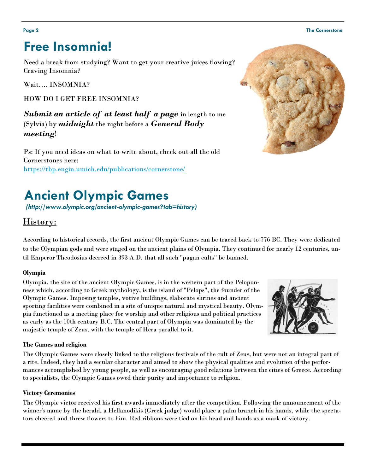#### **Page 2 The Cornerstone**

# **Free Insomnia!**

Need a break from studying? Want to get your creative juices flowing? Craving Insomnia?

Wait…. INSOMNIA?

HOW DO I GET FREE INSOMNIA?

*Submit an article of at least half a page* in length to me (Sylvia) by *midnight* the night before a *General Body meeting*!

Ps: If you need ideas on what to write about, check out all the old Cornerstones here: <https://tbp.engin.umich.edu/publications/cornerstone/>

# **Ancient Olympic Games**

*(http://www.olympic.org/ancient-olympic-games?tab=history)*

### History:

According to historical records, the first ancient Olympic Games can be traced back to 776 BC. They were dedicated to the Olympian gods and were staged on the ancient plains of Olympia. They continued for nearly 12 centuries, until Emperor Theodosius decreed in 393 A.D. that all such "pagan cults" be banned.

#### **Olympia**

Olympia, the site of the ancient Olympic Games, is in the western part of the Peloponnese which, according to Greek mythology, is the island of "Pelops", the founder of the Olympic Games. Imposing temples, votive buildings, elaborate shrines and ancient sporting facilities were combined in a site of unique natural and mystical beauty. Olympia functioned as a meeting place for worship and other religious and political practices as early as the 10th century B.C. The central part of Olympia was dominated by the majestic temple of Zeus, with the temple of Hera parallel to it.

#### **The Games and religion**

The Olympic Games were closely linked to the religious festivals of the cult of Zeus, but were not an integral part of a rite. Indeed, they had a secular character and aimed to show the physical qualities and evolution of the performances accomplished by young people, as well as encouraging good relations between the cities of Greece. According to specialists, the Olympic Games owed their purity and importance to religion.

#### **Victory Ceremonies**

The Olympic victor received his first awards immediately after the competition. Following the announcement of the winner's name by the herald, a Hellanodikis (Greek judge) would place a palm branch in his hands, while the spectators cheered and threw flowers to him. Red ribbons were tied on his head and hands as a mark of victory.



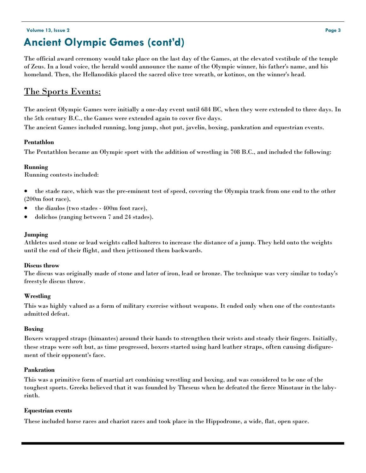### **Volume 13, Issue 2 Page 3 Ancient Olympic Games (cont'd)**

The official award ceremony would take place on the last day of the Games, at the elevated vestibule of the temple of Zeus. In a loud voice, the herald would announce the name of the Olympic winner, his father's name, and his homeland. Then, the Hellanodikis placed the sacred olive tree wreath, or kotinos, on the winner's head.

### The Sports Events:

The ancient Olympic Games were initially a one-day event until 684 BC, when they were extended to three days. In the 5th century B.C., the Games were extended again to cover five days.

The ancient Games included running, long jump, shot put, javelin, boxing, pankration and equestrian events.

#### **Pentathlon**

The Pentathlon became an Olympic sport with the addition of wrestling in 708 B.C., and included the following:

#### **Running**

Running contests included:

 the stade race, which was the pre-eminent test of speed, covering the Olympia track from one end to the other (200m foot race),

- the diaulos (two stades 400m foot race),
- dolichos (ranging between 7 and 24 stades).

#### **Jumping**

Athletes used stone or lead weights called halteres to increase the distance of a jump. They held onto the weights until the end of their flight, and then jettisoned them backwards.

#### **Discus throw**

The discus was originally made of stone and later of iron, lead or bronze. The technique was very similar to today's freestyle discus throw.

#### **Wrestling**

This was highly valued as a form of military exercise without weapons. It ended only when one of the contestants admitted defeat.

#### **Boxing**

Boxers wrapped straps (himantes) around their hands to strengthen their wrists and steady their fingers. Initially, these straps were soft but, as time progressed, boxers started using hard leather straps, often causing disfigurement of their opponent's face.

#### **Pankration**

This was a primitive form of martial art combining wrestling and boxing, and was considered to be one of the toughest sports. Greeks believed that it was founded by Theseus when he defeated the fierce Minotaur in the labyrinth.

#### **Equestrian events**

These included horse races and chariot races and took place in the Hippodrome, a wide, flat, open space.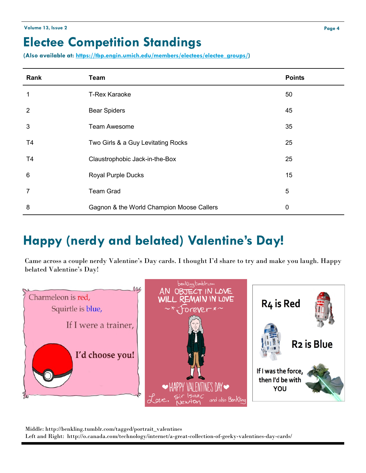### **Electee Competition Standings**

**(Also available at: [https://tbp.engin.umich.edu/members/electees/electee\\_groups/\)](https://tbp.engin.umich.edu/members/electees/electee_groups/)**

| Rank            | <b>Team</b>                               | <b>Points</b> |
|-----------------|-------------------------------------------|---------------|
| 1               | <b>T-Rex Karaoke</b>                      | 50            |
| $\overline{2}$  | <b>Bear Spiders</b>                       | 45            |
| 3               | <b>Team Awesome</b>                       | 35            |
| T <sub>4</sub>  | Two Girls & a Guy Levitating Rocks        | 25            |
| T <sub>4</sub>  | Claustrophobic Jack-in-the-Box            | 25            |
| $6\phantom{1}6$ | <b>Royal Purple Ducks</b>                 | 15            |
| $\overline{7}$  | <b>Team Grad</b>                          | 5             |
| 8               | Gagnon & the World Champion Moose Callers | $\mathbf 0$   |

# **Happy (nerdy and belated) Valentine's Day!**

Came across a couple nerdy Valentine's Day cards. I thought I'd share to try and make you laugh. Happy belated Valentine's Day!



Middle: http://benkling.tumblr.com/tagged/portrait\_valentines Left and Right: http://o.canada.com/technology/internet/a-great-collection-of-geeky-valentines-day-cards/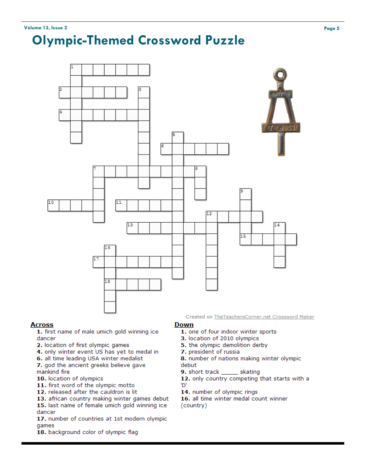# **Olympic-Themed Crossword Puzzle**



#### **Across**

1. first name of male umich gold winning ice dancer

- 2. location of first olympic games
- 4. only winter event US has yet to medal in
- 6. all time leading USA winter medalist

7. god the ancient greeks believe gave mankind fire

- 10. location of olympics
- 11. first word of the olympic motto
- 12. released after the cauldron is lit
- 13. african country making winter games debut

15. last name of female umich gold winning ice dancer

17. number of countries at 1st modern olympic games

18. background color of olympic flag

Created on TheTeachersCorner.net Crossword Maker

#### **Down**

- 1. one of four indoor winter sports
- 3. location of 2010 olympics
- 5. the olympic demolition derby
- 7. president of russia

8. number of nations making winter olympic debut

9. short track \_ \_\_ skating

12. only country competing that starts with a 'D'

14. number of olympic rings

16. all time winter medal count winner (country)